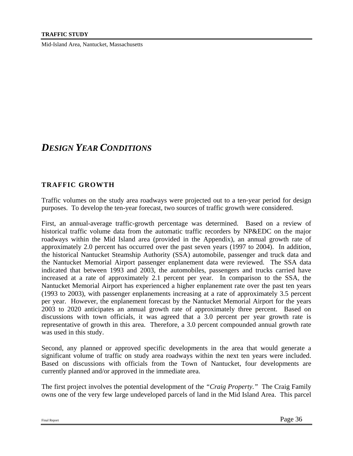# *DESIGN YEAR CONDITIONS*

## **TRAFFIC GROWTH**

Traffic volumes on the study area roadways were projected out to a ten-year period for design purposes. To develop the ten-year forecast, two sources of traffic growth were considered.

First, an annual-average traffic-growth percentage was determined. Based on a review of historical traffic volume data from the automatic traffic recorders by NP&EDC on the major roadways within the Mid Island area (provided in the Appendix), an annual growth rate of approximately 2.0 percent has occurred over the past seven years (1997 to 2004). In addition, the historical Nantucket Steamship Authority (SSA) automobile, passenger and truck data and the Nantucket Memorial Airport passenger enplanement data were reviewed. The SSA data indicated that between 1993 and 2003, the automobiles, passengers and trucks carried have increased at a rate of approximately 2.1 percent per year. In comparison to the SSA, the Nantucket Memorial Airport has experienced a higher enplanement rate over the past ten years (1993 to 2003), with passenger enplanements increasing at a rate of approximately 3.5 percent per year. However, the enplanement forecast by the Nantucket Memorial Airport for the years 2003 to 2020 anticipates an annual growth rate of approximately three percent. Based on discussions with town officials, it was agreed that a 3.0 percent per year growth rate is representative of growth in this area. Therefore, a 3.0 percent compounded annual growth rate was used in this study.

Second, any planned or approved specific developments in the area that would generate a significant volume of traffic on study area roadways within the next ten years were included. Based on discussions with officials from the Town of Nantucket, four developments are currently planned and/or approved in the immediate area.

The first project involves the potential development of the *"Craig Property."* The Craig Family owns one of the very few large undeveloped parcels of land in the Mid Island Area. This parcel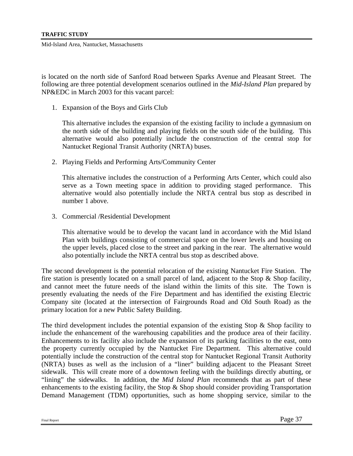is located on the north side of Sanford Road between Sparks Avenue and Pleasant Street. The following are three potential development scenarios outlined in the *Mid-Island Plan* prepared by NP&EDC in March 2003 for this vacant parcel:

1. Expansion of the Boys and Girls Club

This alternative includes the expansion of the existing facility to include a gymnasium on the north side of the building and playing fields on the south side of the building. This alternative would also potentially include the construction of the central stop for Nantucket Regional Transit Authority (NRTA) buses.

2. Playing Fields and Performing Arts/Community Center

This alternative includes the construction of a Performing Arts Center, which could also serve as a Town meeting space in addition to providing staged performance. This alternative would also potentially include the NRTA central bus stop as described in number 1 above.

3. Commercial /Residential Development

This alternative would be to develop the vacant land in accordance with the Mid Island Plan with buildings consisting of commercial space on the lower levels and housing on the upper levels, placed close to the street and parking in the rear. The alternative would also potentially include the NRTA central bus stop as described above.

The second development is the potential relocation of the existing Nantucket Fire Station. The fire station is presently located on a small parcel of land, adjacent to the Stop & Shop facility, and cannot meet the future needs of the island within the limits of this site. The Town is presently evaluating the needs of the Fire Department and has identified the existing Electric Company site (located at the intersection of Fairgrounds Road and Old South Road) as the primary location for a new Public Safety Building.

The third development includes the potential expansion of the existing Stop & Shop facility to include the enhancement of the warehousing capabilities and the produce area of their facility. Enhancements to its facility also include the expansion of its parking facilities to the east, onto the property currently occupied by the Nantucket Fire Department. This alternative could potentially include the construction of the central stop for Nantucket Regional Transit Authority (NRTA) buses as well as the inclusion of a "liner" building adjacent to the Pleasant Street sidewalk. This will create more of a downtown feeling with the buildings directly abutting, or "lining" the sidewalks. In addition, the *Mid Island Plan* recommends that as part of these enhancements to the existing facility, the Stop  $\&$  Shop should consider providing Transportation Demand Management (TDM) opportunities, such as home shopping service, similar to the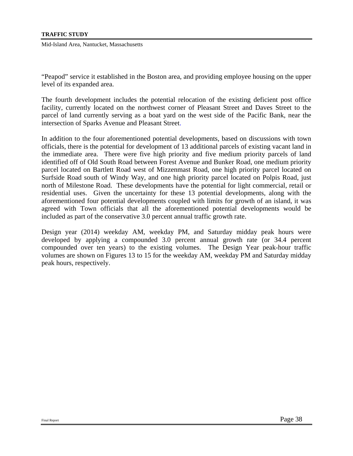"Peapod" service it established in the Boston area, and providing employee housing on the upper level of its expanded area.

The fourth development includes the potential relocation of the existing deficient post office facility, currently located on the northwest corner of Pleasant Street and Daves Street to the parcel of land currently serving as a boat yard on the west side of the Pacific Bank, near the intersection of Sparks Avenue and Pleasant Street.

In addition to the four aforementioned potential developments, based on discussions with town officials, there is the potential for development of 13 additional parcels of existing vacant land in the immediate area. There were five high priority and five medium priority parcels of land identified off of Old South Road between Forest Avenue and Bunker Road, one medium priority parcel located on Bartlett Road west of Mizzenmast Road, one high priority parcel located on Surfside Road south of Windy Way, and one high priority parcel located on Polpis Road, just north of Milestone Road. These developments have the potential for light commercial, retail or residential uses. Given the uncertainty for these 13 potential developments, along with the aforementioned four potential developments coupled with limits for growth of an island, it was agreed with Town officials that all the aforementioned potential developments would be included as part of the conservative 3.0 percent annual traffic growth rate.

Design year (2014) weekday AM, weekday PM, and Saturday midday peak hours were developed by applying a compounded 3.0 percent annual growth rate (or 34.4 percent compounded over ten years) to the existing volumes. The Design Year peak-hour traffic volumes are shown on Figures 13 to 15 for the weekday AM, weekday PM and Saturday midday peak hours, respectively.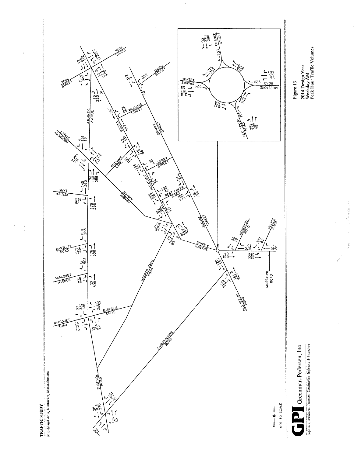

2014 Design Year<br>Weekday AM<br>Peak Hour Traffic Volumes

大 あんな あまま

Engineers, Architects, Pionners, Construction Engineers & Inspectors

**TRAFFIC STUDY** 

 $\begin{array}{c} \lambda \\ \lambda \\ \lambda \end{array}$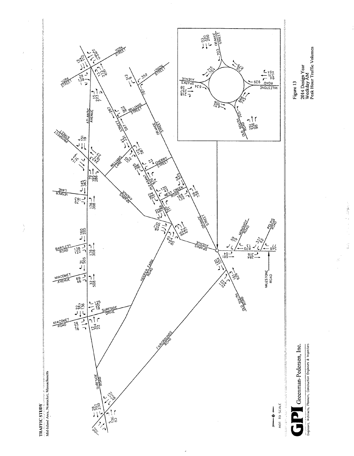

 $\frac{1}{2}$ 

2014 Design Year<br>Weekday AM<br>Peak Hour Traffic Volumes

- Constructs, Architects, Planners, Construction Engineers & Inspectors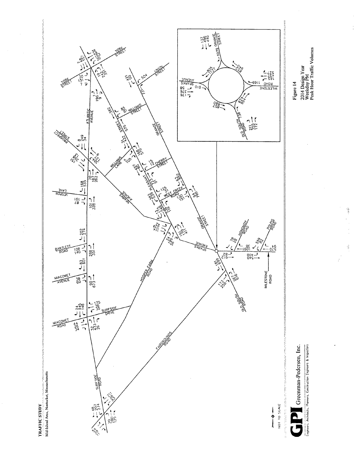

2014 Design Year<br>Weekday PM<br>Peak Hour Traffic Volumes

 $\frac{1}{2} \left( \frac{1}{2} \frac{d^2 y}{d^2 y} \right)$ 

Greenman-Pedersen, Inc.

completed and the construction Engineers & Inspectors

**TRAFFIC STUDY** 

Ç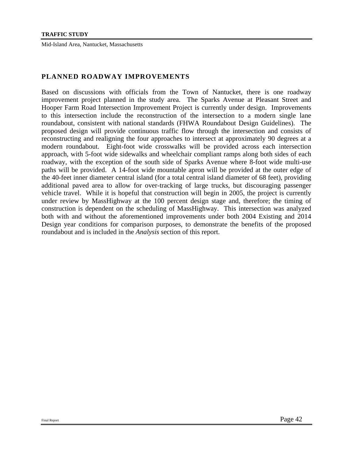#### **PLANNED ROADWAY IMPROVEMENTS**

Based on discussions with officials from the Town of Nantucket, there is one roadway improvement project planned in the study area. The Sparks Avenue at Pleasant Street and Hooper Farm Road Intersection Improvement Project is currently under design. Improvements to this intersection include the reconstruction of the intersection to a modern single lane roundabout, consistent with national standards (FHWA Roundabout Design Guidelines). The proposed design will provide continuous traffic flow through the intersection and consists of reconstructing and realigning the four approaches to intersect at approximately 90 degrees at a modern roundabout. Eight-foot wide crosswalks will be provided across each intersection approach, with 5-foot wide sidewalks and wheelchair compliant ramps along both sides of each roadway, with the exception of the south side of Sparks Avenue where 8-foot wide multi-use paths will be provided. A 14-foot wide mountable apron will be provided at the outer edge of the 40-feet inner diameter central island (for a total central island diameter of 68 feet), providing additional paved area to allow for over-tracking of large trucks, but discouraging passenger vehicle travel. While it is hopeful that construction will begin in 2005, the project is currently under review by MassHighway at the 100 percent design stage and, therefore; the timing of construction is dependent on the scheduling of MassHighway. This intersection was analyzed both with and without the aforementioned improvements under both 2004 Existing and 2014 Design year conditions for comparison purposes, to demonstrate the benefits of the proposed roundabout and is included in the *Analysis* section of this report.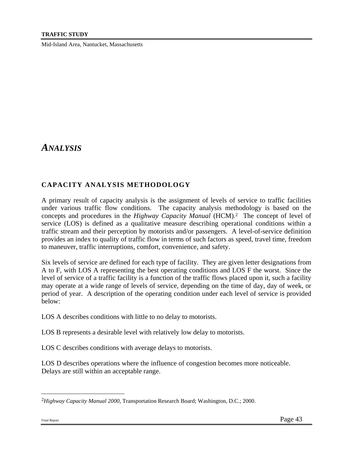# *ANALYSIS*

# **CAPACITY ANALYSIS METHODOLOGY**

A primary result of capacity analysis is the assignment of levels of service to traffic facilities under various traffic flow conditions. The capacity analysis methodology is based on the concepts and procedures in the *Highway Capacity Manual* (HCM).2 The concept of level of service (LOS) is defined as a qualitative measure describing operational conditions within a traffic stream and their perception by motorists and/or passengers. A level-of-service definition provides an index to quality of traffic flow in terms of such factors as speed, travel time, freedom to maneuver, traffic interruptions, comfort, convenience, and safety.

Six levels of service are defined for each type of facility. They are given letter designations from A to F, with LOS A representing the best operating conditions and LOS F the worst. Since the level of service of a traffic facility is a function of the traffic flows placed upon it, such a facility may operate at a wide range of levels of service, depending on the time of day, day of week, or period of year. A description of the operating condition under each level of service is provided below:

LOS A describes conditions with little to no delay to motorists.

LOS B represents a desirable level with relatively low delay to motorists.

LOS C describes conditions with average delays to motorists.

LOS D describes operations where the influence of congestion becomes more noticeable. Delays are still within an acceptable range.

1

<sup>2</sup>*Highway Capacity Manual 2000*, Transportation Research Board; Washington, D.C.; 2000.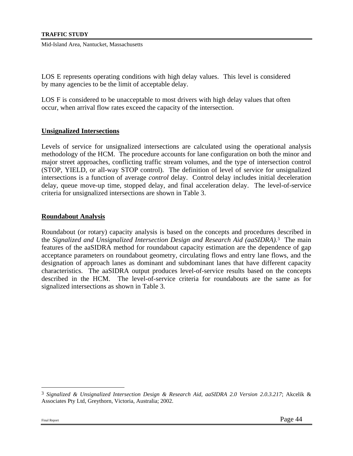LOS E represents operating conditions with high delay values. This level is considered by many agencies to be the limit of acceptable delay.

LOS F is considered to be unacceptable to most drivers with high delay values that often occur, when arrival flow rates exceed the capacity of the intersection.

#### **Unsignalized Intersections**

Levels of service for unsignalized intersections are calculated using the operational analysis methodology of the HCM. The procedure accounts for lane configuration on both the minor and major street approaches, conflicting traffic stream volumes, and the type of intersection control (STOP, YIELD, or all-way STOP control). The definition of level of service for unsignalized intersections is a function of average *control* delay. Control delay includes initial deceleration delay, queue move-up time, stopped delay, and final acceleration delay. The level-of-service criteria for unsignalized intersections are shown in Table 3.

#### **Roundabout Analysis**

Roundabout (or rotary) capacity analysis is based on the concepts and procedures described in the *Signalized and Unsignalized Intersection Design and Research Aid (aaSIDRA).*3 The main features of the aaSIDRA method for roundabout capacity estimation are the dependence of gap acceptance parameters on roundabout geometry, circulating flows and entry lane flows, and the designation of approach lanes as dominant and subdominant lanes that have different capacity characteristics. The aaSIDRA output produces level-of-service results based on the concepts described in the HCM. The level-of-service criteria for roundabouts are the same as for signalized intersections as shown in Table 3.

1

<sup>3</sup> *Signalized & Unsignalized Intersection Design & Research Aid, aaSIDRA 2.0 Version 2.0.3.217*; Akcelik & Associates Pty Ltd, Greythorn, Victoria, Australia; 2002.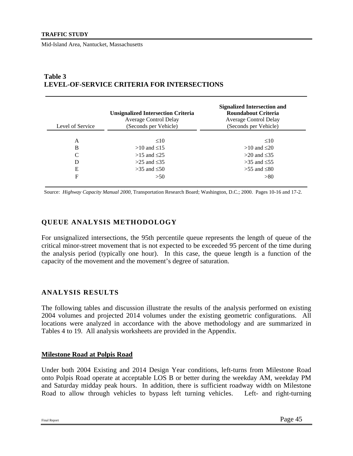#### Level of Service **Unsignalized Intersection Criteria** Average Control Delay (Seconds per Vehicle) **Signalized Intersection and Roundabout Criteria** Average Control Delay (Seconds per Vehicle) A  $\leq 10$   $\leq 10$ B  $>10$  and  $\leq 15$   $>10$  and  $\leq 20$ C  $>15$  and  $\leq 25$   $>20$  and  $\leq 35$ D  $>25$  and  $\leq 35$   $>35$  and  $\leq 55$ E  $>35 \text{ and } \leq 50$   $>55 \text{ and } \leq 80$ F  $>50$   $>80$

## **Table 3 LEVEL-OF-SERVICE CRITERIA FOR INTERSECTIONS**

Source: *Highway Capacity Manual 2000*, Transportation Research Board; Washington, D.C.; 2000. Pages 10-16 and 17-2.

# **QUEUE ANALYSIS METHODOLOGY**

For unsignalized intersections, the 95th percentile queue represents the length of queue of the critical minor-street movement that is not expected to be exceeded 95 percent of the time during the analysis period (typically one hour). In this case, the queue length is a function of the capacity of the movement and the movement's degree of saturation.

## **ANALYSIS RESULTS**

The following tables and discussion illustrate the results of the analysis performed on existing 2004 volumes and projected 2014 volumes under the existing geometric configurations. All locations were analyzed in accordance with the above methodology and are summarized in Tables 4 to 19. All analysis worksheets are provided in the Appendix.

#### **Milestone Road at Polpis Road**

Under both 2004 Existing and 2014 Design Year conditions, left-turns from Milestone Road onto Polpis Road operate at acceptable LOS B or better during the weekday AM, weekday PM and Saturday midday peak hours. In addition, there is sufficient roadway width on Milestone Road to allow through vehicles to bypass left turning vehicles. Left- and right-turning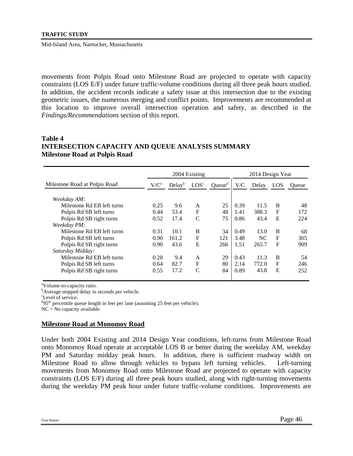movements from Polpis Road onto Milestone Road are projected to operate with capacity constraints (LOS E/F) under future traffic-volume conditions during all three peak hours studied. In addition, the accident records indicate a safety issue at this intersection due to the existing geometric issues, the numerous merging and conflict points. Improvements are recommended at this location to improve overall intersection operation and safety, as described in the *Findings/Recommendations* section of this report.

#### **Table 4 INTERSECTION CAPACITY AND QUEUE ANALYSIS SUMMARY Milestone Road at Polpis Road**

|                               |         |                    | 2004 Existing    |                    |      | 2014 Design Year |             |              |
|-------------------------------|---------|--------------------|------------------|--------------------|------|------------------|-------------|--------------|
| Milestone Road at Polpis Road | $V/C^a$ | Delay <sup>b</sup> | LOS <sup>c</sup> | Queue <sup>d</sup> | V/C  | Delay            | LOS         | <b>Oueue</b> |
| Weekday AM:                   |         |                    |                  |                    |      |                  |             |              |
| Milestone Rd EB left turns    | 0.25    | 9.6                | A                | 25                 | 0.39 | 11.5             | B           | 48           |
| Polpis Rd SB left turns       | 0.44    | 53.4               | F                | 48                 | 1.41 | 388.3            | $\mathbf F$ | 172          |
| Polpis Rd SB right turns      | 0.52    | 17.4               | C                | 75                 | 0.86 | 43.4             | E           | 224          |
| Weekday PM:                   |         |                    |                  |                    |      |                  |             |              |
| Milestone Rd EB left turns    | 0.31    | 10.1               | B                | 34                 | 0.49 | 13.0             | B           | 68           |
| Polpis Rd SB left turns       | 0.90    | 161.2              | $\mathbf{F}$     | 121                | 3.48 | NC.              | F           | 305          |
| Polpis Rd SB right turns      | 0.90    | 43.6               | E                | 266                | 1.51 | 265.7            | $\mathbf F$ | 909          |
| Saturday Midday:              |         |                    |                  |                    |      |                  |             |              |
| Milestone Rd EB left turns    | 0.28    | 9.4                | A                | 29                 | 0.43 | 11.3             | B           | 54           |
| Polpis Rd SB left turns       | 0.64    | 82.7               | F                | 80                 | 2.14 | 772.0            | F           | 246          |
| Polpis Rd SB right turns      | 0.55    | 17.2               | C                | 84                 | 0.89 | 43.8             | E           | 252          |

<sup>a</sup>Volume-to-capacity ratio.

<sup>b</sup>Average stopped delay in seconds per vehicle.

c Level of service.

 $^{d}$ 95<sup>th</sup> percentile queue length in feet per lane (assuming 25 feet per vehicle).

 $NC = No$  capacity available.

#### **Milestone Road at Monomoy Road**

Under both 2004 Existing and 2014 Design Year conditions, left-turns from Milestone Road onto Monomoy Road operate at acceptable LOS B or better during the weekday AM, weekday PM and Saturday midday peak hours. In addition, there is sufficient roadway width on Milestone Road to allow through vehicles to bypass left turning vehicles. Left-turning movements from Monomoy Road onto Milestone Road are projected to operate with capacity constraints (LOS E/F) during all three peak hours studied, along with right-turning movements during the weekday PM peak hour under future traffic-volume conditions. Improvements are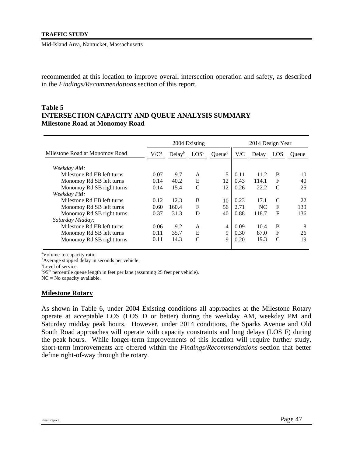recommended at this location to improve overall intersection operation and safety, as described in the *Findings/Recommendations* section of this report.

#### **Table 5 INTERSECTION CAPACITY AND QUEUE ANALYSIS SUMMARY Milestone Road at Monomoy Road**

|                                |         |                    | 2004 Existing    |                    |      | 2014 Design Year |             |       |
|--------------------------------|---------|--------------------|------------------|--------------------|------|------------------|-------------|-------|
| Milestone Road at Monomoy Road | $V/C^a$ | Delay <sup>b</sup> | LOS <sup>c</sup> | Queue <sup>d</sup> | V/C  | Delay            | LOS         | Oueue |
| Weekday AM:                    |         |                    |                  |                    |      |                  |             |       |
| Milestone Rd EB left turns     | 0.07    | 9.7                | A                | 5                  | 0.11 | 11.2             | B           | 10    |
| Monomoy Rd SB left turns       | 0.14    | 40.2               | E                | 12                 | 0.43 | 114.1            | F           | 40    |
| Monomoy Rd SB right turns      | 0.14    | 15.4               | C                | 12                 | 0.26 | 22.2             | C           | 25    |
| Weekday PM:                    |         |                    |                  |                    |      |                  |             |       |
| Milestone Rd EB left turns     | 0.12    | 12.3               | B                | 10                 | 0.23 | 17.1             | C           | 22    |
| Monomoy Rd SB left turns       | 0.60    | 160.4              | $\mathbf F$      | 56                 | 2.71 | NC.              | $\mathbf F$ | 139   |
| Monomoy Rd SB right turns      | 0.37    | 31.3               | D                | 40                 | 0.88 | 118.7            | $\mathbf F$ | 136   |
| Saturday Midday:               |         |                    |                  |                    |      |                  |             |       |
| Milestone Rd EB left turns     | 0.06    | 9.2                | A                | 4                  | 0.09 | 10.4             | B           | 8     |
| Monomoy Rd SB left turns       | 0.11    | 35.7               | E                | 9                  | 0.30 | 87.0             | $\mathbf F$ | 26    |
| Monomoy Rd SB right turns      | 0.11    | 14.3               | $\mathcal{C}$    | 9                  | 0.20 | 19.3             | C           | 19    |
|                                |         |                    |                  |                    |      |                  |             |       |

<sup>a</sup>Volume-to-capacity ratio.

<sup>b</sup>Average stopped delay in seconds per vehicle.

c Level of service.

<sup>d</sup>95<sup>th</sup> percentile queue length in feet per lane (assuming 25 feet per vehicle).

 $NC = No$  capacity available.

#### **Milestone Rotary**

As shown in Table 6, under 2004 Existing conditions all approaches at the Milestone Rotary operate at acceptable LOS (LOS D or better) during the weekday AM, weekday PM and Saturday midday peak hours. However, under 2014 conditions, the Sparks Avenue and Old South Road approaches will operate with capacity constraints and long delays (LOS F) during the peak hours. While longer-term improvements of this location will require further study, short-term improvements are offered within the *Findings/Recommendations* section that better define right-of-way through the rotary.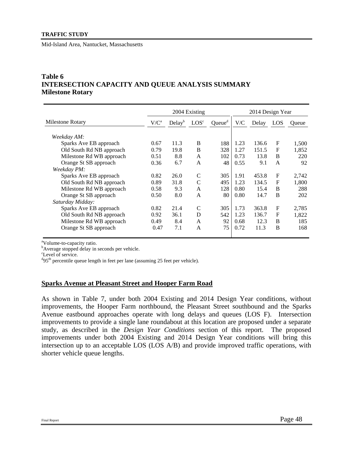# **Table 6 INTERSECTION CAPACITY AND QUEUE ANALYSIS SUMMARY Milestone Rotary**

|                                                                                                                             |                              |                            | 2004 Existing                            |                         |                              | 2014 Design Year               |                       |                              |
|-----------------------------------------------------------------------------------------------------------------------------|------------------------------|----------------------------|------------------------------------------|-------------------------|------------------------------|--------------------------------|-----------------------|------------------------------|
| Milestone Rotary                                                                                                            | $V/C^a$                      | Delay <sup>b</sup>         | LOS <sup>c</sup>                         | Queue <sup>d</sup>      | V/C                          | Delay                          | LOS                   | Oueue                        |
| Weekday AM:<br>Sparks Ave EB approach<br>Old South Rd NB approach<br>Milestone Rd WB approach                               | 0.67<br>0.79<br>0.51         | 11.3<br>19.8<br>8.8        | B<br>B<br>A                              | 188<br>328<br>102       | 1.23<br>1.27<br>0.73         | 136.6<br>151.5<br>13.8         | F<br>$\mathbf F$<br>B | 1,500<br>1,852<br>220        |
| Orange St SB approach                                                                                                       | 0.36                         | 6.7                        | A                                        | 48                      | 0.55                         | 9.1                            | A                     | 92                           |
| Weekday PM:<br>Sparks Ave EB approach<br>Old South Rd NB approach<br>Milestone Rd WB approach<br>Orange St SB approach      | 0.82<br>0.89<br>0.58<br>0.50 | 26.0<br>31.8<br>9.3<br>8.0 | $\mathcal{C}$<br>$\mathcal{C}$<br>A<br>A | 305<br>495<br>128<br>80 | 1.91<br>1.23<br>0.80<br>0.80 | 453.8<br>134.5<br>15.4<br>14.7 | F<br>F<br>B<br>B      | 2,742<br>1,800<br>288<br>202 |
| Saturday Midday:<br>Sparks Ave EB approach<br>Old South Rd NB approach<br>Milestone Rd WB approach<br>Orange St SB approach | 0.82<br>0.92<br>0.49<br>0.47 | 21.4<br>36.1<br>8.4<br>7.1 | C<br>D<br>A<br>A                         | 305<br>542<br>92<br>75  | 1.73<br>1.23<br>0.68<br>0.72 | 363.8<br>136.7<br>12.3<br>11.3 | F<br>F<br>B<br>B      | 2,785<br>1,822<br>185<br>168 |

<sup>a</sup>Volume-to-capacity ratio.

<sup>b</sup>Average stopped delay in seconds per vehicle.

c Level of service.

<sup>d</sup>95<sup>th</sup> percentile queue length in feet per lane (assuming 25 feet per vehicle).

#### **Sparks Avenue at Pleasant Street and Hooper Farm Road**

As shown in Table 7, under both 2004 Existing and 2014 Design Year conditions, without improvements, the Hooper Farm northbound, the Pleasant Street southbound and the Sparks Avenue eastbound approaches operate with long delays and queues (LOS F). Intersection improvements to provide a single lane roundabout at this location are proposed under a separate study, as described in the *Design Year Conditions* section of this report. The proposed improvements under both 2004 Existing and 2014 Design Year conditions will bring this intersection up to an acceptable LOS (LOS A/B) and provide improved traffic operations, with shorter vehicle queue lengths.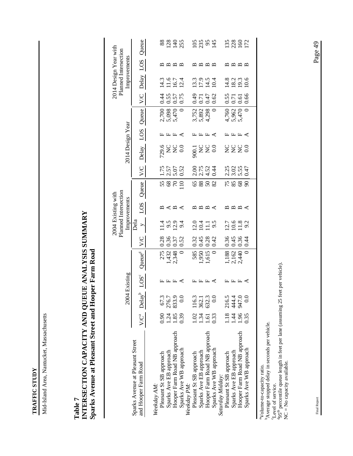**TRAFFIC STUDY TRAFFIC STUDY** 

Mid-Island Area, Nantucket, Massachusetts Mid-Island Area, Nantucket, Massachusetts

# **INTERSECTION CAPACITY AND QUEUE ANALYSIS SUMMARY**  INTERSECTION CAPACITY AND QUEUE ANALYSIS SUMMARY Sparks Avenue at Pleasant Street and Hooper Farm Road **Sparks Avenue at Pleasant Street and Hooper Farm Road Table 7**

|                                                          |      |                                                      |                  |                |                                             | Planned Intersection<br>2004 Existing with                            |                                     |                 |                                      |                       |             |                         |                               | 2014 Design Year with<br>Planned Intersection                                          |      |                     |
|----------------------------------------------------------|------|------------------------------------------------------|------------------|----------------|---------------------------------------------|-----------------------------------------------------------------------|-------------------------------------|-----------------|--------------------------------------|-----------------------|-------------|-------------------------|-------------------------------|----------------------------------------------------------------------------------------|------|---------------------|
|                                                          |      |                                                      | 2004 Existing    |                |                                             |                                                                       | Improvements                        |                 |                                      | 2014 Design Year      |             |                         |                               | Improvements                                                                           |      |                     |
| Sparks Avenue at Pleasant Street<br>and Hooper Farm Road |      |                                                      |                  |                |                                             | Dela                                                                  |                                     |                 |                                      |                       |             |                         |                               |                                                                                        |      |                     |
|                                                          |      | $V/C^a$ Delay <sup>b</sup>                           | LOS <sup>c</sup> | $Q$ ueue $q$   | $\sum_{i=1}^{n}$                            | $\geq$                                                                | SOT                                 | Queue           | $\sum_{i=1}^{n}$                     | Delay                 | <b>SOT</b>  | Queue                   | $\sqrt{C}$                    | Delay                                                                                  | LOS  | Queue               |
| Weekday AM:                                              |      |                                                      |                  |                |                                             |                                                                       |                                     |                 |                                      |                       |             |                         |                               |                                                                                        |      |                     |
| Pleasant St SB approach                                  | 0.90 |                                                      |                  | 275            |                                             |                                                                       |                                     |                 |                                      |                       |             |                         |                               |                                                                                        |      | 88                  |
| Sparks Ave EB approach                                   | 1.24 |                                                      |                  |                | $\begin{array}{c} 0.28 \\ 0.36 \end{array}$ | $1.4$<br>$1.9$<br>$2.9$                                               |                                     |                 |                                      |                       |             |                         |                               |                                                                                        |      |                     |
| Hooper Farm Road NB approach                             | 1.85 | 67.3<br>276.7<br>833.9<br>833.9                      | 圧圧圧く             | 1,432<br>2,348 | 0.37                                        |                                                                       | m < m <                             | 5885            | $1.75$<br>$2.57$<br>$5.07$<br>$5.52$ | 9.0<br>22<br>20<br>20 | <b>⊞⊞±∢</b> | 2,700<br>5,098<br>5,470 | 0 0 0 0<br>0 0 0 0<br>0 0 0 0 | 1 1 1 0 1<br>1 1 0 1<br>1 1 0 1                                                        |      | 235                 |
| Sparks Ave WB approach<br>Weekday PM:                    | 0.39 |                                                      |                  |                | 0.52                                        | 9.4                                                                   |                                     |                 |                                      |                       |             |                         |                               |                                                                                        |      |                     |
| Pleasant St SB approach                                  |      |                                                      |                  | 585            |                                             |                                                                       |                                     |                 |                                      |                       |             |                         | 64.0                          |                                                                                        |      |                     |
| Sparks Ave EB approach                                   |      |                                                      |                  | 1,950          |                                             |                                                                       |                                     | $rac{88}{59}$   |                                      |                       |             | 3,752<br>5,892<br>4,298 | 0.71                          |                                                                                        |      |                     |
| Hooper Farm Road NB approach                             |      | 1.02 116.3<br>1.34 362.1<br>1.61 632.3<br>1.61 632.3 | LLLK             | 1,615          | 0.32<br>0.45<br>0.28                        | $231.50$<br>$21.50$                                                   | $m \n  <$ $m \n  <$                 | 50 <sup>2</sup> | 2.2.24<br>2.2.24<br>2.2.4            |                       | 圧圧圧く        |                         | 0.47                          | $\frac{3}{11}$<br>$\frac{5}{11}$<br>$\frac{5}{11}$<br>$\frac{5}{11}$<br>$\frac{1}{11}$ | mmmm | 9384                |
| Sparks Ave WB approach                                   | 0.33 |                                                      |                  |                | 0.42                                        |                                                                       |                                     |                 |                                      |                       |             |                         | 0.62                          |                                                                                        |      |                     |
| Saturday Midday:                                         |      |                                                      |                  |                |                                             |                                                                       |                                     |                 |                                      |                       |             |                         |                               |                                                                                        |      |                     |
| Pleasant St SB approach                                  |      |                                                      |                  | 1,188          | 0.36                                        |                                                                       |                                     |                 |                                      |                       |             |                         |                               |                                                                                        |      |                     |
| Sparks Ave EB approach                                   |      |                                                      |                  | 2,162          | 0.45                                        |                                                                       |                                     |                 |                                      |                       |             |                         |                               |                                                                                        |      |                     |
| Hooper Farm Road NB approach                             | 1.96 | 1.18 216.5<br>1.44 444.4<br>1.96 947.0<br>1.96 947.0 | 圧圧圧く             | 2,440          | 0.36                                        | $\frac{27}{20}$<br>$\frac{6}{20}$<br>$\frac{8}{20}$<br>$\frac{2}{20}$ | $\boxtimes$ $\boxtimes$ $\boxtimes$ | <b>72888</b>    | 2.25<br>2.55<br>2.57<br>2.47         | uuuo<br>zzzo          | 圧圧圧く        | 4,760<br>5,962<br>5,470 | 55<br>555<br>555              | $14.8$<br>$19.3$<br>$10.6$                                                             |      | 138<br>1922<br>1921 |
| Sparks Ave WB approach                                   | 0.35 |                                                      |                  |                | 0.44                                        |                                                                       |                                     |                 |                                      |                       |             |                         |                               |                                                                                        |      |                     |
|                                                          |      |                                                      |                  |                |                                             |                                                                       |                                     |                 |                                      |                       |             |                         |                               |                                                                                        |      |                     |
|                                                          |      |                                                      |                  |                |                                             |                                                                       |                                     |                 |                                      |                       |             |                         |                               |                                                                                        |      |                     |

aVolume-to-capacity ratio.

bAverage stopped delay in seconds per vehicle.

Level of service.

<sup>a</sup>Volume-to-capacity ratio.<br>
<sup>b</sup>Average stopped delay in seconds per vehicle.<br>
<sup>6</sup>Level of service.<br>
<sup>4</sup>95<sup>th</sup> percentile queue length in feet per lane (assuming 25 feet per vehicle).<br>NC = No capacity available. d95th percentile queue length in feet per lane (assuming 25 feet per vehicle). NC = No capacity available.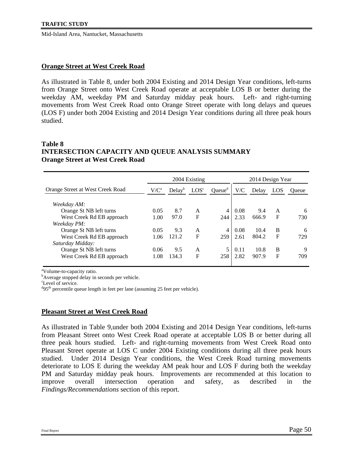#### **Orange Street at West Creek Road**

As illustrated in Table 8, under both 2004 Existing and 2014 Design Year conditions, left-turns from Orange Street onto West Creek Road operate at acceptable LOS B or better during the weekday AM, weekday PM and Saturday midday peak hours. Left- and right-turning movements from West Creek Road onto Orange Street operate with long delays and queues (LOS F) under both 2004 Existing and 2014 Design Year conditions during all three peak hours studied.

#### **Table 8 INTERSECTION CAPACITY AND QUEUE ANALYSIS SUMMARY Orange Street at West Creek Road**

| $V/C^a$ | Delav <sup>b</sup> | LOS <sup>c</sup> | Queue <sup>d</sup> | V/C  | Delay | LOS | Oueue            |
|---------|--------------------|------------------|--------------------|------|-------|-----|------------------|
|         |                    |                  |                    |      |       |     |                  |
| 0.05    | 8.7                | A                | 4                  | 0.08 | 9.4   | A   | 6                |
| 1.00    | 97.0               | F                | 244                | 2.33 | 666.9 | F   | 730              |
|         |                    |                  |                    |      |       |     |                  |
| 0.05    | 9.3                | A                | 4                  | 0.08 | 10.4  | B   | 6                |
| 1.06    | 121.2              | F                | 259                | 2.61 | 804.2 | F   | 729              |
|         |                    |                  |                    |      |       |     |                  |
| 0.06    | 9.5                | A                | 5                  | 0.11 | 10.8  | B   | 9                |
| 1.08    | 134.3              | F                | 258                | 2.82 | 907.9 | F   | 709              |
|         |                    |                  | 2004 Existing      |      |       |     | 2014 Design Year |

<sup>a</sup>Volume-to-capacity ratio.

<sup>b</sup>Average stopped delay in seconds per vehicle.

c Level of service.

 $^{d}$ 95<sup>th</sup> percentile queue length in feet per lane (assuming 25 feet per vehicle).

#### **Pleasant Street at West Creek Road**

As illustrated in Table 9,under both 2004 Existing and 2014 Design Year conditions, left-turns from Pleasant Street onto West Creek Road operate at acceptable LOS B or better during all three peak hours studied. Left- and right-turning movements from West Creek Road onto Pleasant Street operate at LOS C under 2004 Existing conditions during all three peak hours studied. Under 2014 Design Year conditions, the West Creek Road turning movements deteriorate to LOS E during the weekday AM peak hour and LOS F during both the weekday PM and Saturday midday peak hours. Improvements are recommended at this location to improve overall intersection operation and safety, as described in the *Findings/Recommendations* section of this report.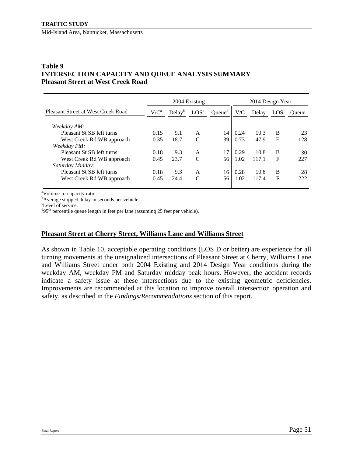#### **Table 9 INTERSECTION CAPACITY AND QUEUE ANALYSIS SUMMARY Pleasant Street at West Creek Road**

|                                    |         |                    | 2004 Existing    |                    |      | 2014 Design Year |     |       |
|------------------------------------|---------|--------------------|------------------|--------------------|------|------------------|-----|-------|
| Pleasant Street at West Creek Road | $V/C^a$ | Delay <sup>b</sup> | LOS <sup>c</sup> | Queue <sup>d</sup> | V/C  | Delay            | LOS | Oueue |
| Weekday AM:                        |         |                    |                  |                    |      |                  |     |       |
| Pleasant St SB left turns          | 0.15    | 9.1                | A                | 14                 | 0.24 | 10.3             | B   | 23    |
| West Creek Rd WB approach          | 0.35    | 18.7               | $\mathcal{C}$    | 39                 | 0.73 | 47.9             | E   | 128   |
| Weekday PM:                        |         |                    |                  |                    |      |                  |     |       |
| Pleasant St SB left turns          | 0.18    | 9.3                | A                | 17                 | 0.29 | 10.8             | B   | 30    |
| West Creek Rd WB approach          | 0.45    | 23.7               | C                | 56                 | 1.02 | 117.1            | F   | 227   |
| Saturday Midday:                   |         |                    |                  |                    |      |                  |     |       |
| Pleasant St SB left turns          | 0.18    | 9.3                | A                | 16                 | 0.28 | 10.8             | B   | 28    |
| West Creek Rd WB approach          | 0.45    | 24.4               | $\mathcal{C}$    | 56                 | 1.02 | 117.4            | F   | 222   |
|                                    |         |                    |                  |                    |      |                  |     |       |

<sup>a</sup>Volume-to-capacity ratio.

<sup>b</sup>Average stopped delay in seconds per vehicle.

c Level of service.

 $^{d}$ 95<sup>th</sup> percentile queue length in feet per lane (assuming 25 feet per vehicle).

#### **Pleasant Street at Cherry Street, Williams Lane and Williams Street**

As shown in Table 10, acceptable operating conditions (LOS D or better) are experience for all turning movements at the unsignalized intersections of Pleasant Street at Cherry, Williams Lane and Williams Street under both 2004 Existing and 2014 Design Year conditions during the weekday AM, weekday PM and Saturday midday peak hours. However, the accident records indicate a safety issue at these intersections due to the existing geometric deficiencies. Improvements are recommended at this location to improve overall intersection operation and safety, as described in the *Findings/Recommendations* section of this report.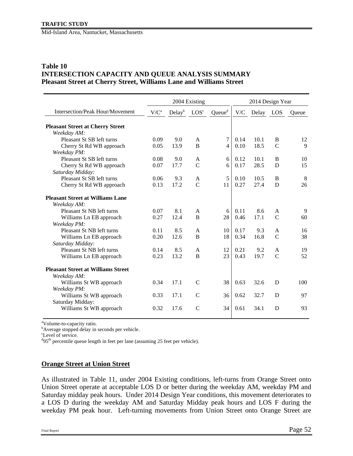## **Table 10 INTERSECTION CAPACITY AND QUEUE ANALYSIS SUMMARY Pleasant Street at Cherry Street, Williams Lane and Williams Street**

|                                                        |         |                    | 2004 Existing    |                    |      | 2014 Design Year |               |              |
|--------------------------------------------------------|---------|--------------------|------------------|--------------------|------|------------------|---------------|--------------|
| <b>Intersection/Peak Hour/Movement</b>                 | $V/C^a$ | Delay <sup>b</sup> | LOS <sup>c</sup> | Queue <sup>d</sup> | V/C  | Delay            | LOS           | Oueue        |
| <b>Pleasant Street at Cherry Street</b><br>Weekday AM: |         |                    |                  |                    |      |                  |               |              |
| Pleasant St SB left turns                              | 0.09    | 9.0                | A                | 7                  | 0.14 | 10.1             | B             | 12           |
| Cherry St Rd WB approach                               | 0.05    | 13.9               | B                | $\overline{4}$     | 0.10 | 18.5             | $\mathcal{C}$ | $\mathbf{Q}$ |
| Weekday PM:                                            |         |                    |                  |                    |      |                  |               |              |
| Pleasant St SB left turns                              | 0.08    | 9.0                | A                | 6                  | 0.12 | 10.1             | B             | 10           |
| Cherry St Rd WB approach                               | 0.07    | 17.7               | $\mathcal{C}$    | 6                  | 0.17 | 28.5             | D             | 15           |
| Saturday Midday:                                       |         |                    |                  |                    |      |                  |               |              |
| Pleasant St SB left turns                              | 0.06    | 9.3                | A                | 5                  | 0.10 | 10.5             | B             | 8            |
| Cherry St Rd WB approach                               | 0.13    | 17.2               | $\overline{C}$   | 11                 | 0.27 | 27.4             | D             | 26           |
| <b>Pleasant Street at Williams Lane</b>                |         |                    |                  |                    |      |                  |               |              |
| Weekday AM:                                            |         |                    |                  |                    |      |                  |               |              |
| Pleasant St NB left turns                              | 0.07    | 8.1                | A                | 6                  | 0.11 | 8.6              | $\mathsf{A}$  | 9            |
| Williams Ln EB approach                                | 0.27    | 12.4               | B                | 28                 | 0.46 | 17.1             | $\mathcal{C}$ | 60           |
| Weekday PM:                                            |         |                    |                  |                    |      |                  |               |              |
| Pleasant St NB left turns                              | 0.11    | 8.5                | A                | 10                 | 0.17 | 9.3              | A             | 16           |
| Williams Ln EB approach                                | 0.20    | 12.6               | B                | 18                 | 0.34 | 16.8             | $\mathcal{C}$ | 38           |
| Saturday Midday:                                       |         |                    |                  |                    |      |                  |               |              |
| Pleasant St NB left turns                              | 0.14    | 8.5                | A                | 12                 | 0.21 | 9.2              | A             | 19           |
| Williams Ln EB approach                                | 0.23    | 13.2               | $\overline{B}$   | 23                 | 0.43 | 19.7             | $\mathcal{C}$ | 52           |
| <b>Pleasant Street at Williams Street</b>              |         |                    |                  |                    |      |                  |               |              |
| Weekday AM:                                            |         |                    |                  |                    |      |                  |               |              |
| Williams St WB approach                                | 0.34    | 17.1               | $\mathcal{C}$    | 38                 | 0.63 | 32.6             | D             | 100          |
| Weekday PM:<br>Williams St WB approach                 | 0.33    | 17.1               | $\mathcal{C}$    | 36                 | 0.62 | 32.7             | D             | 97           |
| Saturday Midday:                                       |         |                    |                  |                    |      |                  |               |              |
| Williams St WB approach                                | 0.32    | 17.6               | $\mathcal{C}$    | 34                 | 0.61 | 34.1             | D             | 93           |

<sup>a</sup>Volume-to-capacity ratio.

<sup>b</sup>Average stopped delay in seconds per vehicle.

c Level of service.

 $^{d}$ 95<sup>th</sup> percentile queue length in feet per lane (assuming 25 feet per vehicle).

#### **Orange Street at Union Street**

As illustrated in Table 11, under 2004 Existing conditions, left-turns from Orange Street onto Union Street operate at acceptable LOS D or better during the weekday AM, weekday PM and Saturday midday peak hours. Under 2014 Design Year conditions, this movement deteriorates to a LOS D during the weekday AM and Saturday Midday peak hours and LOS F during the weekday PM peak hour. Left-turning movements from Union Street onto Orange Street are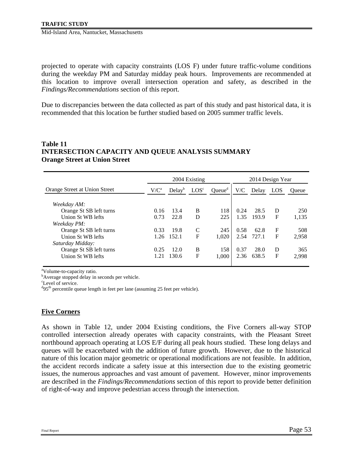projected to operate with capacity constraints (LOS F) under future traffic-volume conditions during the weekday PM and Saturday midday peak hours. Improvements are recommended at this location to improve overall intersection operation and safety, as described in the *Findings/Recommendations* section of this report.

Due to discrepancies between the data collected as part of this study and past historical data, it is recommended that this location be further studied based on 2005 summer traffic levels.

#### **Table 11 INTERSECTION CAPACITY AND QUEUE ANALYSIS SUMMARY Orange Street at Union Street**

|                               |         |                    | 2004 Existing    |                    |      | 2014 Design Year |             |       |
|-------------------------------|---------|--------------------|------------------|--------------------|------|------------------|-------------|-------|
| Orange Street at Union Street | $V/C^a$ | Delay <sup>b</sup> | LOS <sup>c</sup> | Queue <sup>d</sup> | V/C  | Delay            | LOS         | Oueue |
| Weekday AM:                   |         |                    |                  |                    |      |                  |             |       |
| Orange St SB left turns       | 0.16    | 13.4               | B                | 118                | 0.24 | 28.5             | D           | 250   |
| Union St WB lefts             | 0.73    | 22.8               | D                | 225                | 1.35 | 193.9            | $\mathbf F$ | 1,135 |
| Weekday PM:                   |         |                    |                  |                    |      |                  |             |       |
| Orange St SB left turns       | 0.33    | 19.8               | C                | 245                | 0.58 | 62.8             | $\mathbf F$ | 508   |
| Union St WB lefts             | 1.26    | 152.1              | F                | 1.020              | 2.54 | 727.1            | $\mathbf F$ | 2,958 |
| Saturday Midday:              |         |                    |                  |                    |      |                  |             |       |
| Orange St SB left turns       | 0.25    | 12.0               | B                | 158                | 0.37 | 28.0             | D           | 365   |
| Union St WB lefts             | 1.21    | 130.6              | F                | 1.000              | 2.36 | 638.5            | $\mathbf F$ | 2,998 |

<sup>a</sup>Volume-to-capacity ratio.

<sup>b</sup>Average stopped delay in seconds per vehicle.

c Level of service.

 $^{d}$ 95<sup>th</sup> percentile queue length in feet per lane (assuming 25 feet per vehicle).

# **Five Corners**

As shown in Table 12, under 2004 Existing conditions, the Five Corners all-way STOP controlled intersection already operates with capacity constraints, with the Pleasant Street northbound approach operating at LOS E/F during all peak hours studied. These long delays and queues will be exacerbated with the addition of future growth. However, due to the historical nature of this location major geometric or operational modifications are not feasible. In addition, the accident records indicate a safety issue at this intersection due to the existing geometric issues, the numerous approaches and vast amount of pavement. However, minor improvements are described in the *Findings/Recommendations* section of this report to provide better definition of right-of-way and improve pedestrian access through the intersection.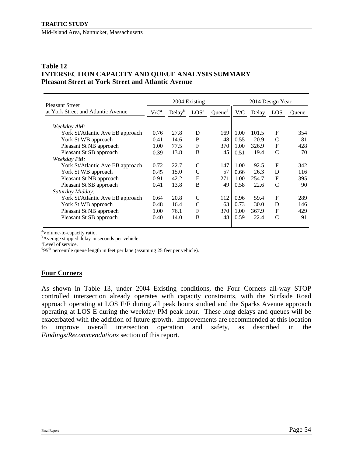#### **Table 12 INTERSECTION CAPACITY AND QUEUE ANALYSIS SUMMARY Pleasant Street at York Street and Atlantic Avenue**

| Pleasant Street                    |         |                    | 2004 Existing    |                    |      | 2014 Design Year |               |       |
|------------------------------------|---------|--------------------|------------------|--------------------|------|------------------|---------------|-------|
| at York Street and Atlantic Avenue | $V/C^a$ | Delay <sup>b</sup> | LOS <sup>c</sup> | Queue <sup>d</sup> | V/C  | Delay            | LOS           | Oueue |
| Weekday AM:                        |         |                    |                  |                    |      |                  |               |       |
| York St/Atlantic Ave EB approach   | 0.76    | 27.8               | D                | 169                | 1.00 | 101.5            | $\mathbf F$   | 354   |
| York St WB approach                | 0.41    | 14.6               | B                | 48                 | 0.55 | 20.9             | $\mathsf{C}$  | 81    |
| Pleasant St NB approach            | 1.00    | 77.5               | $\mathbf F$      | 370                | 1.00 | 326.9            | $\mathbf F$   | 428   |
| Pleasant St SB approach            | 0.39    | 13.8               | B                | 45                 | 0.51 | 19.4             | $\mathcal{C}$ | 70    |
| Weekday PM:                        |         |                    |                  |                    |      |                  |               |       |
| York St/Atlantic Ave EB approach   | 0.72    | 22.7               | C                | 147                | 1.00 | 92.5             | $\mathbf F$   | 342   |
| York St WB approach                | 0.45    | 15.0               | $\mathcal{C}$    | 57                 | 0.66 | 26.3             | D             | 116   |
| Pleasant St NB approach            | 0.91    | 42.2               | E                | 271                | 1.00 | 254.7            | $\mathbf F$   | 395   |
| Pleasant St SB approach            | 0.41    | 13.8               | B                | 49                 | 0.58 | 22.6             | C             | 90    |
| Saturday Midday:                   |         |                    |                  |                    |      |                  |               |       |
| York St/Atlantic Ave EB approach   | 0.64    | 20.8               | C                | 112                | 0.96 | 59.4             | $\mathbf F$   | 289   |
| York St WB approach                | 0.48    | 16.4               | C                | 63                 | 0.73 | 30.0             | D             | 146   |
| Pleasant St NB approach            | 1.00    | 76.1               | $\mathbf F$      | 370                | 1.00 | 367.9            | $\mathbf F$   | 429   |
| Pleasant St SB approach            | 0.40    | 14.0               | B                | 48                 | 0.59 | 22.4             | C             | 91    |
|                                    |         |                    |                  |                    |      |                  |               |       |

<sup>a</sup>Volume-to-capacity ratio.

<sup>b</sup>Average stopped delay in seconds per vehicle.

c Level of service.

<sup>d</sup>95<sup>th</sup> percentile queue length in feet per lane (assuming 25 feet per vehicle).

#### **Four Corners**

As shown in Table 13, under 2004 Existing conditions, the Four Corners all-way STOP controlled intersection already operates with capacity constraints, with the Surfside Road approach operating at LOS E/F during all peak hours studied and the Sparks Avenue approach operating at LOS E during the weekday PM peak hour. These long delays and queues will be exacerbated with the addition of future growth. Improvements are recommended at this location to improve overall intersection operation and safety, as described in the *Findings/Recommendations* section of this report.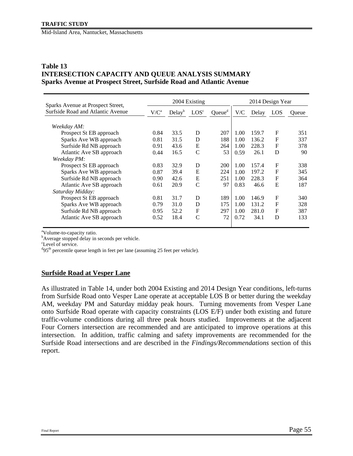#### **Table 13 INTERSECTION CAPACITY AND QUEUE ANALYSIS SUMMARY Sparks Avenue at Prospect Street, Surfside Road and Atlantic Avenue**

| Sparks Avenue at Prospect Street, |         |                    | 2004 Existing    |                    |      | 2014 Design Year |              |       |
|-----------------------------------|---------|--------------------|------------------|--------------------|------|------------------|--------------|-------|
| Surfside Road and Atlantic Avenue | $V/C^a$ | Delay <sup>b</sup> | LOS <sup>c</sup> | Queue <sup>d</sup> | V/C  | Delay            | LOS          | Oueue |
|                                   |         |                    |                  |                    |      |                  |              |       |
| Weekday AM:                       |         |                    |                  |                    |      |                  |              |       |
| Prospect St EB approach           | 0.84    | 33.5               | D                | 207                | 1.00 | 159.7            | $\mathbf F$  | 351   |
| Sparks Ave WB approach            | 0.81    | 31.5               | D                | 188                | 1.00 | 136.2            | F            | 337   |
| Surfside Rd NB approach           | 0.91    | 43.6               | E                | 264                | 1.00 | 228.3            | $\mathbf{F}$ | 378   |
| Atlantic Ave SB approach          | 0.44    | 16.5               | C                | 53                 | 0.59 | 26.1             | D            | 90    |
| Weekday PM:                       |         |                    |                  |                    |      |                  |              |       |
| Prospect St EB approach           | 0.83    | 32.9               | D                | 200                | 1.00 | 157.4            | $\mathbf F$  | 338   |
| Sparks Ave WB approach            | 0.87    | 39.4               | E                | 224                | 1.00 | 197.2            | $\mathbf F$  | 345   |
| Surfside Rd NB approach           | 0.90    | 42.6               | E                | 251                | 1.00 | 228.3            | $\mathbf{F}$ | 364   |
| Atlantic Ave SB approach          | 0.61    | 20.9               | C                | 97                 | 0.83 | 46.6             | E            | 187   |
| Saturday Midday:                  |         |                    |                  |                    |      |                  |              |       |
| Prospect St EB approach           | 0.81    | 31.7               | D                | 189                | 1.00 | 146.9            | $\mathbf F$  | 340   |
| Sparks Ave WB approach            | 0.79    | 31.0               | D                | 175                | 1.00 | 131.2            | $\mathbf F$  | 328   |
| Surfside Rd NB approach           | 0.95    | 52.2               | $\mathbf{F}$     | 297                | 1.00 | 281.0            | $\mathbf F$  | 387   |
| Atlantic Ave SB approach          | 0.52    | 18.4               | C                | 72                 | 0.72 | 34.1             | D            | 133   |
|                                   |         |                    |                  |                    |      |                  |              |       |

<sup>a</sup>Volume-to-capacity ratio.

<sup>b</sup>Average stopped delay in seconds per vehicle.

c Level of service.

<sup>d</sup>95<sup>th</sup> percentile queue length in feet per lane (assuming 25 feet per vehicle).

#### **Surfside Road at Vesper Lane**

As illustrated in Table 14, under both 2004 Existing and 2014 Design Year conditions, left-turns from Surfside Road onto Vesper Lane operate at acceptable LOS B or better during the weekday AM, weekday PM and Saturday midday peak hours. Turning movements from Vesper Lane onto Surfside Road operate with capacity constraints (LOS E/F) under both existing and future traffic-volume conditions during all three peak hours studied. Improvements at the adjacent Four Corners intersection are recommended and are anticipated to improve operations at this intersection. In addition, traffic calming and safety improvements are recommended for the Surfside Road intersections and are described in the *Findings/Recommendations* section of this report.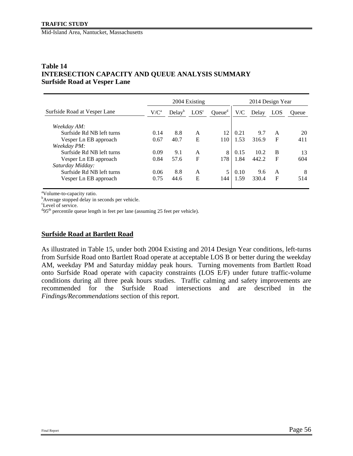### **Table 14 INTERSECTION CAPACITY AND QUEUE ANALYSIS SUMMARY Surfside Road at Vesper Lane**

|                              |         |                    | 2004 Existing    |                    |      | 2014 Design Year |              |       |
|------------------------------|---------|--------------------|------------------|--------------------|------|------------------|--------------|-------|
| Surfside Road at Vesper Lane | $V/C^a$ | Delay <sup>b</sup> | LOS <sup>c</sup> | Queue <sup>d</sup> | V/C  | Delay            | LOS          | Oueue |
| Weekday AM:                  |         |                    |                  |                    |      |                  |              |       |
| Surfside Rd NB left turns    | 0.14    | 8.8                | A                | 12                 | 0.21 | 9.7              | A            | 20    |
| Vesper Ln EB approach        | 0.67    | 40.7               | E                | 110                | 1.53 | 316.9            | $\mathbf F$  | 411   |
| Weekday PM:                  |         |                    |                  |                    |      |                  |              |       |
| Surfside Rd NB left turns    | 0.09    | 9.1                | A                | 8                  | 0.15 | 10.2             | B            | 13    |
| Vesper Ln EB approach        | 0.84    | 57.6               | F                | 178                | 1.84 | 442.2            | $\mathbf{F}$ | 604   |
| Saturday Midday:             |         |                    |                  |                    |      |                  |              |       |
| Surfside Rd NB left turns    | 0.06    | 8.8                | A                | 5                  | 0.10 | 9.6              | A            | 8     |
| Vesper Ln EB approach        | 0.75    | 44.6               | E                | 144                | 1.59 | 330.4            | $\mathbf{F}$ | 514   |

<sup>a</sup>Volume-to-capacity ratio.

<sup>b</sup>Average stopped delay in seconds per vehicle.

c Level of service.

 $^{d}$ 95<sup>th</sup> percentile queue length in feet per lane (assuming 25 feet per vehicle).

#### **Surfside Road at Bartlett Road**

As illustrated in Table 15, under both 2004 Existing and 2014 Design Year conditions, left-turns from Surfside Road onto Bartlett Road operate at acceptable LOS B or better during the weekday AM, weekday PM and Saturday midday peak hours. Turning movements from Bartlett Road onto Surfside Road operate with capacity constraints (LOS E/F) under future traffic-volume conditions during all three peak hours studies. Traffic calming and safety improvements are recommended for the Surfside Road intersections and are described in the *Findings/Recommendations* section of this report.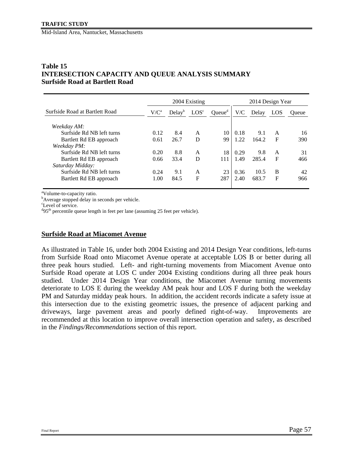#### **Table 15 INTERSECTION CAPACITY AND QUEUE ANALYSIS SUMMARY Surfside Road at Bartlett Road**

|                                |         |                    | 2004 Existing    |                    |      | 2014 Design Year |             |       |
|--------------------------------|---------|--------------------|------------------|--------------------|------|------------------|-------------|-------|
| Surfside Road at Bartlett Road | $V/C^a$ | Delay <sup>b</sup> | LOS <sup>c</sup> | Queue <sup>d</sup> | V/C  | Delay            | LOS         | Oueue |
| Weekday AM:                    |         |                    |                  |                    |      |                  |             |       |
| Surfside Rd NB left turns      | 0.12    | 8.4                | A                | 10                 | 0.18 | 9.1              | A           | 16    |
| Bartlett Rd EB approach        | 0.61    | 26.7               | D                | 99                 | 1.22 | 164.2            | F           | 390   |
| Weekday PM:                    |         |                    |                  |                    |      |                  |             |       |
| Surfside Rd NB left turns      | 0.20    | 8.8                | A                | 18                 | 0.29 | 9.8              | A           | 31    |
| Bartlett Rd EB approach        | 0.66    | 33.4               | D                | 111                | 1.49 | 285.4            | F           | 466   |
| Saturday Midday:               |         |                    |                  |                    |      |                  |             |       |
| Surfside Rd NB left turns      | 0.24    | 9.1                | A                | 23                 | 0.36 | 10.5             | B           | 42    |
| Bartlett Rd EB approach        | 1.00    | 84.5               | F                | 287                | 2.40 | 683.7            | $\mathbf F$ | 966   |

<sup>a</sup>Volume-to-capacity ratio.

<sup>b</sup>Average stopped delay in seconds per vehicle.

c Level of service.

 $^{d}$ 95<sup>th</sup> percentile queue length in feet per lane (assuming 25 feet per vehicle).

#### **Surfside Road at Miacomet Avenue**

As illustrated in Table 16, under both 2004 Existing and 2014 Design Year conditions, left-turns from Surfside Road onto Miacomet Avenue operate at acceptable LOS B or better during all three peak hours studied. Left- and right-turning movements from Miacoment Avenue onto Surfside Road operate at LOS C under 2004 Existing conditions during all three peak hours studied. Under 2014 Design Year conditions, the Miacomet Avenue turning movements deteriorate to LOS E during the weekday AM peak hour and LOS F during both the weekday PM and Saturday midday peak hours. In addition, the accident records indicate a safety issue at this intersection due to the existing geometric issues, the presence of adjacent parking and driveways, large pavement areas and poorly defined right-of-way. Improvements are recommended at this location to improve overall intersection operation and safety, as described in the *Findings/Recommendations* section of this report.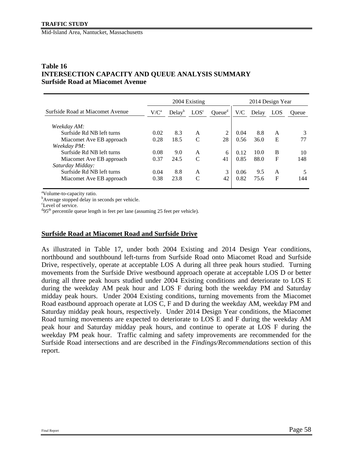#### **Table 16 INTERSECTION CAPACITY AND QUEUE ANALYSIS SUMMARY Surfside Road at Miacomet Avenue**

| 2004 Existing |                    |                  |                    | 2014 Design Year |       |              |       |
|---------------|--------------------|------------------|--------------------|------------------|-------|--------------|-------|
| $V/C^a$       | Delay <sup>b</sup> | LOS <sup>c</sup> | Queue <sup>d</sup> | V/C              | Delay | LOS          | Oueue |
|               |                    |                  |                    |                  |       |              |       |
| 0.02          | 8.3                | A                | 2                  | 0.04             | 8.8   | A            |       |
| 0.28          | 18.5               | $\mathcal{C}$    | 28                 | 0.56             | 36.0  | E            |       |
|               |                    |                  |                    |                  |       |              |       |
| 0.08          | 9.0                | A                | 6                  | 0.12             | 10.0  | B            | 10    |
| 0.37          | 24.5               | $\mathcal{C}$    | 41                 | 0.85             | 88.0  | $_{\rm F}$   | 148   |
|               |                    |                  |                    |                  |       |              |       |
| 0.04          | 8.8                | A                | 3                  | 0.06             | 9.5   | A            | 5     |
| 0.38          | 23.8               | $\mathcal{C}$    | 42                 | 0.82             | 75.6  | $\mathbf{F}$ | 144   |
|               |                    |                  |                    |                  |       |              |       |

<sup>a</sup>Volume-to-capacity ratio.

<sup>b</sup>Average stopped delay in seconds per vehicle.

c Level of service.

 $^{d}$ 95<sup>th</sup> percentile queue length in feet per lane (assuming 25 feet per vehicle).

#### **Surfside Road at Miacomet Road and Surfside Drive**

As illustrated in Table 17, under both 2004 Existing and 2014 Design Year conditions, northbound and southbound left-turns from Surfside Road onto Miacomet Road and Surfside Drive, respectively, operate at acceptable LOS A during all three peak hours studied. Turning movements from the Surfside Drive westbound approach operate at acceptable LOS D or better during all three peak hours studied under 2004 Existing conditions and deteriorate to LOS E during the weekday AM peak hour and LOS F during both the weekday PM and Saturday midday peak hours. Under 2004 Existing conditions, turning movements from the Miacomet Road eastbound approach operate at LOS C, F and D during the weekday AM, weekday PM and Saturday midday peak hours, respectively. Under 2014 Design Year conditions, the Miacomet Road turning movements are expected to deteriorate to LOS E and F during the weekday AM peak hour and Saturday midday peak hours, and continue to operate at LOS F during the weekday PM peak hour. Traffic calming and safety improvements are recommended for the Surfside Road intersections and are described in the *Findings/Recommendations* section of this report.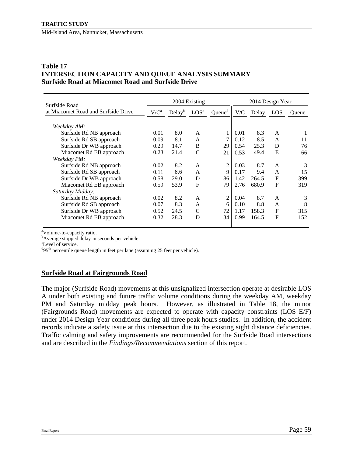#### **Table 17 INTERSECTION CAPACITY AND QUEUE ANALYSIS SUMMARY Surfside Road at Miacomet Road and Surfside Drive**

| Surfside Road                       |         | 2014 Design Year   |                  |                    |      |       |             |       |
|-------------------------------------|---------|--------------------|------------------|--------------------|------|-------|-------------|-------|
| at Miacomet Road and Surfside Drive | $V/C^a$ | Delay <sup>b</sup> | LOS <sup>c</sup> | Queue <sup>d</sup> | V/C  | Delay | LOS.        | Queue |
| Weekday AM:                         |         |                    |                  |                    |      |       |             |       |
| Surfside Rd NB approach             | 0.01    | 8.0                | A                | 1                  | 0.01 | 8.3   | A           |       |
| Surfside Rd SB approach             | 0.09    | 8.1                | A                |                    | 0.12 | 8.5   | A           | 11    |
| Surfside Dr WB approach             | 0.29    | 14.7               | B                | 29                 | 0.54 | 25.3  | D           | 76    |
| Miacomet Rd EB approach             | 0.23    | 21.4               | C                | 21                 | 0.53 | 49.4  | E           | 66    |
| Weekday PM:                         |         |                    |                  |                    |      |       |             |       |
| Surfside Rd NB approach             | 0.02    | 8.2                | A                | $\overline{2}$     | 0.03 | 8.7   | A           | 3     |
| Surfside Rd SB approach             | 0.11    | 8.6                | A                | 9                  | 0.17 | 9.4   | A           | 15    |
| Surfside Dr WB approach             | 0.58    | 29.0               | D                | 86                 | 1.42 | 264.5 | F           | 399   |
| Miacomet Rd EB approach             | 0.59    | 53.9               | F                | 79                 | 2.76 | 680.9 | $\mathbf F$ | 319   |
| Saturday Midday:                    |         |                    |                  |                    |      |       |             |       |
| Surfside Rd NB approach             | 0.02    | 8.2                | A                | 2                  | 0.04 | 8.7   | A           | 3     |
| Surfside Rd SB approach             | 0.07    | 8.3                | A                | 6                  | 0.10 | 8.8   | A           | 8     |
| Surfside Dr WB approach             | 0.52    | 24.5               | C                | 72                 | 1.17 | 158.3 | $\mathbf F$ | 315   |
| Miacomet Rd EB approach             | 0.32    | 28.3               | D                | 34                 | 0.99 | 164.5 | F           | 152   |
|                                     |         |                    |                  |                    |      |       |             |       |

<sup>a</sup>Volume-to-capacity ratio.

<sup>b</sup>Average stopped delay in seconds per vehicle.

c Level of service.

<sup>d</sup>95<sup>th</sup> percentile queue length in feet per lane (assuming 25 feet per vehicle).

#### **Surfside Road at Fairgrounds Road**

The major (Surfside Road) movements at this unsignalized intersection operate at desirable LOS A under both existing and future traffic volume conditions during the weekday AM, weekday PM and Saturday midday peak hours. However, as illustrated in Table 18, the minor (Fairgrounds Road) movements are expected to operate with capacity constraints (LOS E/F) under 2014 Design Year conditions during all three peak hours studies. In addition, the accident records indicate a safety issue at this intersection due to the existing sight distance deficiencies. Traffic calming and safety improvements are recommended for the Surfside Road intersections and are described in the *Findings/Recommendations* section of this report.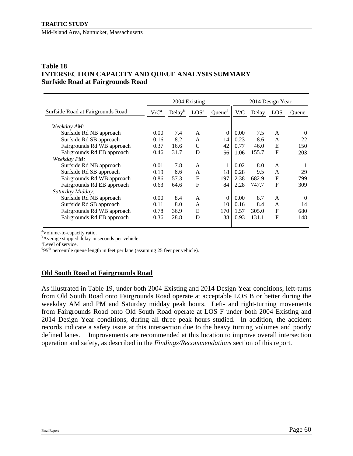#### **TRAFFIC STUDY**

Mid-Island Area, Nantucket, Massachusetts

#### **Table 18 INTERSECTION CAPACITY AND QUEUE ANALYSIS SUMMARY Surfside Road at Fairgrounds Road**

|                                                                                                                |                              | 2004 Existing              |                  | 2014 Design Year                 |                              |                              |                                       |                              |
|----------------------------------------------------------------------------------------------------------------|------------------------------|----------------------------|------------------|----------------------------------|------------------------------|------------------------------|---------------------------------------|------------------------------|
| Surfside Road at Fairgrounds Road                                                                              | $V/C^a$                      | Delay <sup>b</sup>         | LOS <sup>c</sup> | Queue <sup>d</sup>               | V/C                          | Delay                        | LOS                                   | Oueue                        |
| Weekday AM:<br>Surfside Rd NB approach<br>Surfside Rd SB approach<br>Fairgrounds Rd WB approach                | 0.00<br>0.16<br>0.37         | 7.4<br>8.2<br>16.6<br>31.7 | A<br>A<br>C<br>D | $\overline{0}$<br>14<br>42<br>56 | 0.00<br>0.23<br>0.77<br>1.06 | 7.5<br>8.6<br>46.0<br>155.7  | A<br>$\mathsf{A}$<br>E<br>$\mathbf F$ | $\Omega$<br>22<br>150<br>203 |
| Fairgrounds Rd EB approach<br>Weekday PM:                                                                      | 0.46                         |                            |                  |                                  |                              |                              |                                       |                              |
| Surfside Rd NB approach<br>Surfside Rd SB approach                                                             | 0.01<br>0.19                 | 7.8<br>8.6                 | A<br>A           | 18                               | 0.02<br>0.28                 | 8.0<br>9.5                   | $\mathsf{A}$<br>A                     | 29                           |
| Fairgrounds Rd WB approach<br>Fairgrounds Rd EB approach<br>Saturday Midday:                                   | 0.86<br>0.63                 | 57.3<br>64.6               | $\mathbf F$<br>F | 197<br>84                        | 2.38<br>2.28                 | 682.9<br>747.7               | $\mathbf{F}$<br>$\mathbf F$           | 799<br>309                   |
| Surfside Rd NB approach<br>Surfside Rd SB approach<br>Fairgrounds Rd WB approach<br>Fairgrounds Rd EB approach | 0.00<br>0.11<br>0.78<br>0.36 | 8.4<br>8.0<br>36.9<br>28.8 | A<br>A<br>E<br>D | $\Omega$<br>10<br>170<br>38      | 0.00<br>0.16<br>1.57<br>0.93 | 8.7<br>8.4<br>305.0<br>131.1 | A<br>A<br>$\mathbf{F}$<br>$\mathbf F$ | $\Omega$<br>14<br>680<br>148 |
|                                                                                                                |                              |                            |                  |                                  |                              |                              |                                       |                              |

<sup>a</sup>Volume-to-capacity ratio.

<sup>b</sup>Average stopped delay in seconds per vehicle.

c Level of service.

<sup>d</sup>95<sup>th</sup> percentile queue length in feet per lane (assuming 25 feet per vehicle).

#### **Old South Road at Fairgrounds Road**

As illustrated in Table 19, under both 2004 Existing and 2014 Design Year conditions, left-turns from Old South Road onto Fairgrounds Road operate at acceptable LOS B or better during the weekday AM and PM and Saturday midday peak hours. Left- and right-turning movements from Fairgrounds Road onto Old South Road operate at LOS F under both 2004 Existing and 2014 Design Year conditions, during all three peak hours studied. In addition, the accident records indicate a safety issue at this intersection due to the heavy turning volumes and poorly defined lanes. Improvements are recommended at this location to improve overall intersection operation and safety, as described in the *Findings/Recommendations* section of this report.